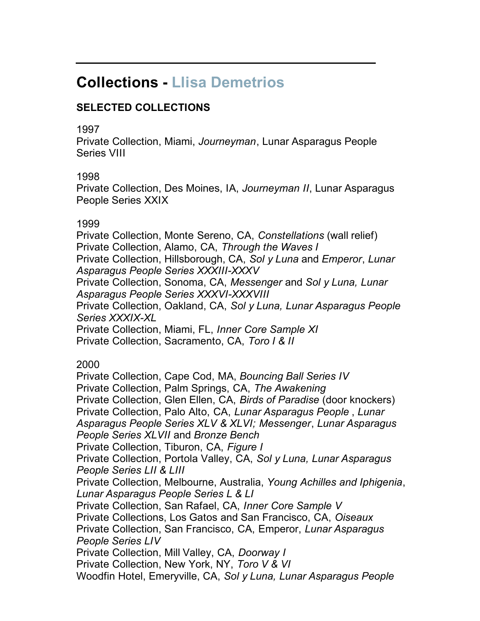# **Collections - Llisa Demetrios**

## **SELECTED COLLECTIONS**

#### 1997

Private Collection, Miami, *Journeyman*, Lunar Asparagus People Series VIII

### 1998

Private Collection, Des Moines, IA, *Journeyman II*, Lunar Asparagus People Series XXIX

### 1999

Private Collection, Monte Sereno, CA, *Constellations* (wall relief) Private Collection, Alamo, CA, *Through the Waves I* Private Collection, Hillsborough, CA, *Sol y Luna* and *Emperor*, *Lunar Asparagus People Series XXXIII-XXXV* Private Collection, Sonoma, CA, *Messenger* and *Sol y Luna, Lunar Asparagus People Series XXXVI-XXXVIII* Private Collection, Oakland, CA, *Sol y Luna, Lunar Asparagus People Series XXXIX-XL* Private Collection, Miami, FL, *Inner Core Sample XI* Private Collection, Sacramento, CA, *Toro I & II*

### 2000

Private Collection, Cape Cod, MA, *Bouncing Ball Series IV* Private Collection, Palm Springs, CA, *The Awakening* Private Collection, Glen Ellen, CA, *Birds of Paradise* (door knockers) Private Collection, Palo Alto, CA, *Lunar Asparagus People* , *Lunar Asparagus People Series XLV & XLVI; Messenger*, *Lunar Asparagus People Series XLVII* and *Bronze Bench* Private Collection, Tiburon, CA, *Figure I* Private Collection, Portola Valley, CA, *Sol y Luna, Lunar Asparagus People Series LII & LIII* Private Collection, Melbourne, Australia, *Young Achilles and Iphigenia*, *Lunar Asparagus People Series L & LI* Private Collection, San Rafael, CA, *Inner Core Sample V* Private Collections, Los Gatos and San Francisco, CA, *Oiseaux* Private Collection, San Francisco, CA, Emperor, *Lunar Asparagus People Series LIV* Private Collection, Mill Valley, CA, *Doorway I* Private Collection, New York, NY, *Toro V & VI* Woodfin Hotel, Emeryville, CA, *Sol y Luna, Lunar Asparagus People*